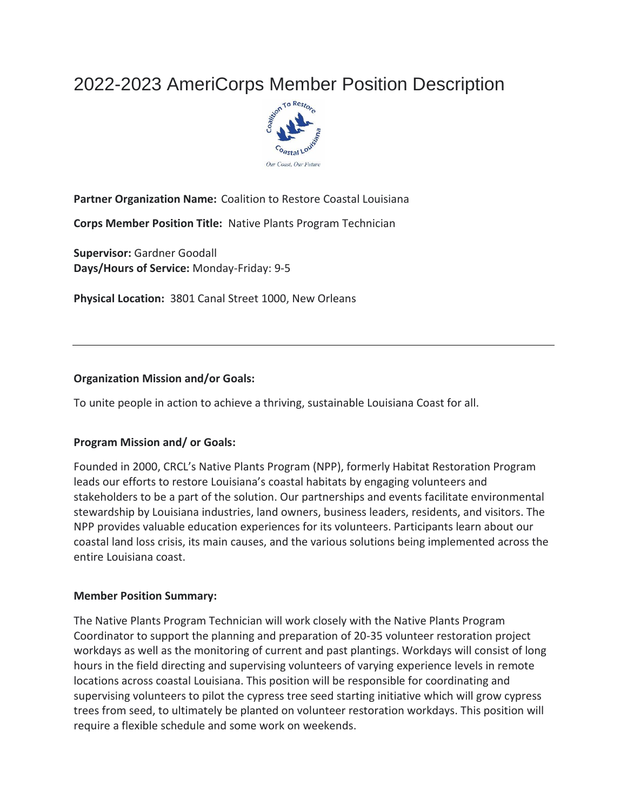# 2022-2023 AmeriCorps Member Position Description



## **Partner Organization Name:** Coalition to Restore Coastal Louisiana

**Corps Member Position Title:** Native Plants Program Technician

**Supervisor:** Gardner Goodall **Days/Hours of Service:** Monday-Friday: 9-5

**Physical Location:** 3801 Canal Street 1000, New Orleans

#### **Organization Mission and/or Goals:**

To unite people in action to achieve a thriving, sustainable Louisiana Coast for all.

#### **Program Mission and/ or Goals:**

Founded in 2000, CRCL's Native Plants Program (NPP), formerly Habitat Restoration Program leads our efforts to restore Louisiana's coastal habitats by engaging volunteers and stakeholders to be a part of the solution. Our partnerships and events facilitate environmental stewardship by Louisiana industries, land owners, business leaders, residents, and visitors. The NPP provides valuable education experiences for its volunteers. Participants learn about our coastal land loss crisis, its main causes, and the various solutions being implemented across the entire Louisiana coast.

#### **Member Position Summary:**

The Native Plants Program Technician will work closely with the Native Plants Program Coordinator to support the planning and preparation of 20-35 volunteer restoration project workdays as well as the monitoring of current and past plantings. Workdays will consist of long hours in the field directing and supervising volunteers of varying experience levels in remote locations across coastal Louisiana. This position will be responsible for coordinating and supervising volunteers to pilot the cypress tree seed starting initiative which will grow cypress trees from seed, to ultimately be planted on volunteer restoration workdays. This position will require a flexible schedule and some work on weekends.